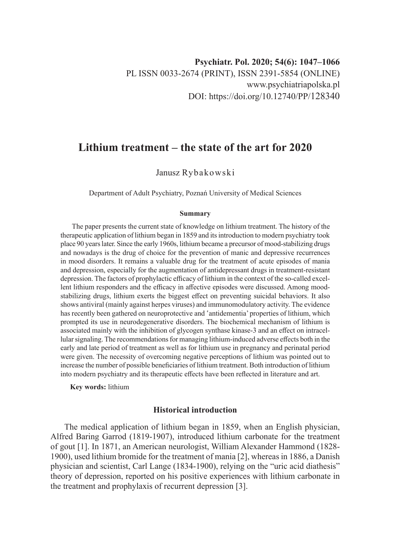# **Lithium treatment – the state of the art for 2020**

# Janusz Rybakowski

Department of Adult Psychiatry, Poznań University of Medical Sciences

#### **Summary**

 The paper presents the current state of knowledge on lithium treatment. The history of the therapeutic application of lithium began in 1859 and its introduction to modern psychiatry took place 90 years later. Since the early 1960s, lithium became a precursor of mood-stabilizing drugs and nowadays is the drug of choice for the prevention of manic and depressive recurrences in mood disorders. It remains a valuable drug for the treatment of acute episodes of mania and depression, especially for the augmentation of antidepressant drugs in treatment-resistant depression. The factors of prophylactic efficacy of lithium in the context of the so-called excellent lithium responders and the efficacy in affective episodes were discussed. Among moodstabilizing drugs, lithium exerts the biggest effect on preventing suicidal behaviors. It also shows antiviral (mainly against herpes viruses) and immunomodulatory activity. The evidence has recently been gathered on neuroprotective and 'antidementia' properties of lithium, which prompted its use in neurodegenerative disorders. The biochemical mechanism of lithium is associated mainly with the inhibition of glycogen synthase kinase-3 and an effect on intracellular signaling. The recommendations for managing lithium-induced adverse effects both in the early and late period of treatment as well as for lithium use in pregnancy and perinatal period were given. The necessity of overcoming negative perceptions of lithium was pointed out to increase the number of possible beneficiaries of lithium treatment. Both introduction of lithium into modern psychiatry and its therapeutic effects have been reflected in literature and art.

**Key words:** lithium

### **Historical introduction**

The medical application of lithium began in 1859, when an English physician, Alfred Baring Garrod (1819-1907), introduced lithium carbonate for the treatment of gout [1]. In 1871, an American neurologist, William Alexander Hammond (1828- 1900), used lithium bromide for the treatment of mania [2], whereas in 1886, a Danish physician and scientist, Carl Lange (1834-1900), relying on the "uric acid diathesis" theory of depression, reported on his positive experiences with lithium carbonate in the treatment and prophylaxis of recurrent depression [3].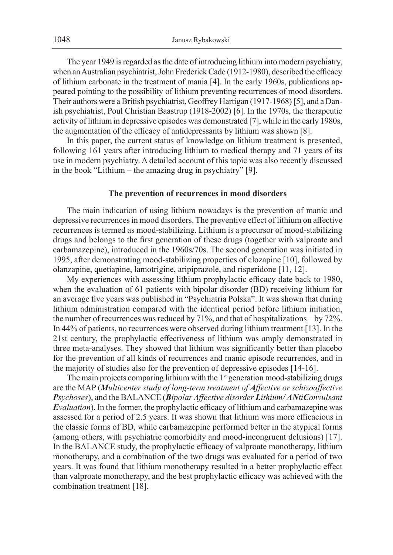The year 1949 is regarded as the date of introducing lithium into modern psychiatry, when an Australian psychiatrist, John Frederick Cade (1912-1980), described the efficacy of lithium carbonate in the treatment of mania [4]. In the early 1960s, publications appeared pointing to the possibility of lithium preventing recurrences of mood disorders. Their authors were aBritish psychiatrist, Geoffrey Hartigan (1917-1968) [5], and a Danish psychiatrist, Poul Christian Baastrup (1918-2002) [6]. In the 1970s, the therapeutic activity of lithium in depressive episodes was demonstrated [7], while in the early 1980s, the augmentation of the efficacy of antidepressants by lithium was shown [8].

In this paper, the current status of knowledge on lithium treatment is presented, following 161 years after introducing lithium to medical therapy and 71 years of its use in modern psychiatry. A detailed account of this topic was also recently discussed in the book "Lithium – the amazing drug in psychiatry" [9].

#### **The prevention of recurrences in mood disorders**

The main indication of using lithium nowadays is the prevention of manic and depressive recurrences in mood disorders. The preventive effect of lithium on affective recurrences is termed as mood-stabilizing. Lithium is a precursor of mood-stabilizing drugs and belongs to the first generation of these drugs (together with valproate and carbamazepine), introduced in the 1960s/70s. The second generation was initiated in 1995, after demonstrating mood-stabilizing properties of clozapine [10], followed by olanzapine, quetiapine, lamotrigine, aripiprazole, and risperidone [11, 12].

My experiences with assessing lithium prophylactic efficacy date back to 1980, when the evaluation of 61 patients with bipolar disorder (BD) receiving lithium for an average five years was published in "Psychiatria Polska". It was shown that during lithium administration compared with the identical period before lithium initiation, the number of recurrences was reduced by 71%, and that of hospitalizations – by 72%. In 44% of patients, no recurrences were observed during lithium treatment [13]. In the 21st century, the prophylactic effectiveness of lithium was amply demonstrated in three meta-analyses. They showed that lithium was significantly better than placebo for the prevention of all kinds of recurrences and manic episode recurrences, and in the majority of studies also for the prevention of depressive episodes [14-16].

The main projects comparing lithium with the  $1<sup>st</sup>$  generation mood-stabilizing drugs are the MAP (*Multicenter study of long-term treatment of Affective or schizoaffective Psychoses*), and the BALANCE (*Bipolar Affective disorder Lithium/ ANtiConvulsant Evaluation*). In the former, the prophylactic efficacy of lithium and carbamazepine was assessed for a period of 2.5 years. It was shown that lithium was more efficacious in the classic forms of BD, while carbamazepine performed better in the atypical forms (among others, with psychiatric comorbidity and mood-incongruent delusions) [17]. In the BALANCE study, the prophylactic efficacy of valproate monotherapy, lithium monotherapy, and a combination of the two drugs was evaluated for a period of two years. It was found that lithium monotherapy resulted in a better prophylactic effect than valproate monotherapy, and the best prophylactic efficacy was achieved with the combination treatment [18].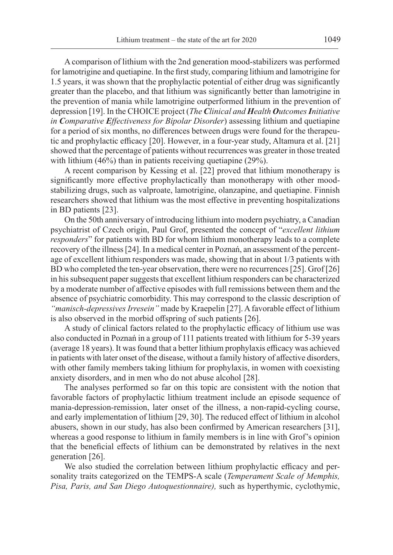A comparison of lithium with the 2nd generation mood-stabilizers was performed for lamotrigine and quetiapine. In the first study, comparing lithium and lamotrigine for 1.5 years, it was shown that the prophylactic potential of either drug was significantly greater than the placebo, and that lithium was significantly better than lamotrigine in the prevention of mania while lamotrigine outperformed lithium in the prevention of depression [19]. In the CHOICE project (*The Clinical and Health Outcomes Initiative in Comparative Effectiveness for Bipolar Disorder*) assessing lithium and quetiapine for a period of six months, no differences between drugs were found for the therapeutic and prophylactic efficacy [20]. However, in a four-year study, Altamura et al. [21] showed that the percentage of patients without recurrences was greater in those treated with lithium (46%) than in patients receiving quetiapine (29%).

A recent comparison by Kessing et al. [22] proved that lithium monotherapy is significantly more effective prophylactically than monotherapy with other moodstabilizing drugs, such as valproate, lamotrigine, olanzapine, and quetiapine. Finnish researchers showed that lithium was the most effective in preventing hospitalizations in BD patients [23].

On the 50th anniversary of introducing lithium into modern psychiatry, a Canadian psychiatrist of Czech origin, Paul Grof, presented the concept of "*excellent lithium responders*" for patients with BD for whom lithium monotherapy leads to a complete recovery of the illness [24]. In a medical center in Poznań, an assessment of the percentage of excellent lithium responders was made, showing that in about 1/3 patients with BD who completed the ten-year observation, there were no recurrences [25]. Grof [26] in his subsequent paper suggests that excellent lithium responders can be characterized by a moderate number of affective episodes with full remissions between them and the absence of psychiatric comorbidity. This may correspond to the classic description of *"manisch-depressives Irresein"* made by Kraepelin [27]. A favorable effect of lithium is also observed in the morbid offspring of such patients [26].

A study of clinical factors related to the prophylactic efficacy of lithium use was also conducted in Poznań in a group of 111 patients treated with lithium for 5-39 years (average 18 years). It was found that a better lithium prophylaxis efficacy was achieved in patients with later onset of the disease, without a family history of affective disorders, with other family members taking lithium for prophylaxis, in women with coexisting anxiety disorders, and in men who do not abuse alcohol [28].

The analyses performed so far on this topic are consistent with the notion that favorable factors of prophylactic lithium treatment include an episode sequence of mania-depression-remission, later onset of the illness, a non-rapid-cycling course, and early implementation of lithium [29, 30]. The reduced effect of lithium in alcohol abusers, shown in our study, has also been confirmed by American researchers [31], whereas a good response to lithium in family members is in line with Grof's opinion that the beneficial effects of lithium can be demonstrated by relatives in the next generation [26].

We also studied the correlation between lithium prophylactic efficacy and personality traits categorized on the TEMPS-A scale (*Temperament Scale of Memphis, Pisa, Paris, and San Diego Autoquestionnaire),* such as hyperthymic, cyclothymic,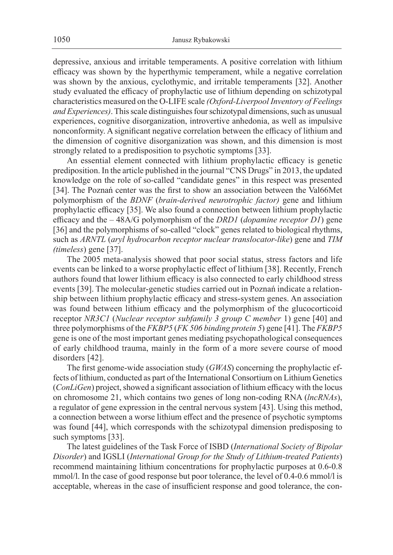depressive, anxious and irritable temperaments. A positive correlation with lithium efficacy was shown by the hyperthymic temperament, while a negative correlation was shown by the anxious, cyclothymic, and irritable temperaments [32]. Another study evaluated the efficacy of prophylactic use of lithium depending on schizotypal characteristics measured on the O-LIFE scale *(Oxford-Liverpool Inventory of Feelings and Experiences)*. This scale distinguishes four schizotypal dimensions, such as unusual experiences, cognitive disorganization, introvertive anhedonia, as well as impulsive nonconformity. A significant negative correlation between the efficacy of lithium and the dimension of cognitive disorganization was shown, and this dimension is most strongly related to a predisposition to psychotic symptoms [33].

An essential element connected with lithium prophylactic efficacy is genetic prediposition. In the article published in the journal "CNS Drugs" in 2013, the updated knowledge on the role of so-called "candidate genes" in this respect was presented [34]. The Poznań center was the first to show an association between the Val66Met polymorphism of the *BDNF* (*brain-derived neurotrophic factor)* gene and lithium prophylactic efficacy [35]. We also found a connection between lithium prophylactic efficacy and the – 48A/G polymorphism of the *DRD1* (*dopamine receptor D1*) gene [36] and the polymorphisms of so-called "clock" genes related to biological rhythms, such as *ARNTL* (*aryl hydrocarbon receptor nuclear translocator-like*) gene and *TIM (timeless*) gene [37].

The 2005 meta-analysis showed that poor social status, stress factors and life events can be linked to a worse prophylactic effect of lithium [38]. Recently, French authors found that lower lithium efficacy is also connected to early childhood stress events [39]. The molecular-genetic studies carried out in Poznań indicate a relationship between lithium prophylactic efficacy and stress-system genes. An association was found between lithium efficacy and the polymorphism of the glucocorticoid receptor *NR3C1* (*Nuclear receptor subfamily 3 group C member* 1) gene [40] and three polymorphisms of the *FKBP5* (*FK 506 binding protein 5*) gene [41]. The *FKBP5*  gene is one of the most important genes mediating psychopathological consequences of early childhood trauma, mainly in the form of a more severe course of mood disorders [42].

The first genome-wide association study (*GWAS*) concerning the prophylactic effects of lithium, conducted as part of the International Consortium on Lithium Genetics (*ConLiGen*) project, showed a significant association of lithium efficacy with the locus on chromosome 21, which contains two genes of long non-coding RNA (*lncRNAs*), a regulator of gene expression in the central nervous system [43]. Using this method, a connection between a worse lithium effect and the presence of psychotic symptoms was found [44], which corresponds with the schizotypal dimension predisposing to such symptoms [33].

The latest guidelines of the Task Force of ISBD (*International Society of Bipolar Disorder*) and IGSLI (*International Group for the Study of Lithium-treated Patients*) recommend maintaining lithium concentrations for prophylactic purposes at 0.6-0.8 mmol/l. In the case of good response but poor tolerance, the level of 0.4-0.6 mmol/l is acceptable, whereas in the case of insufficient response and good tolerance, the con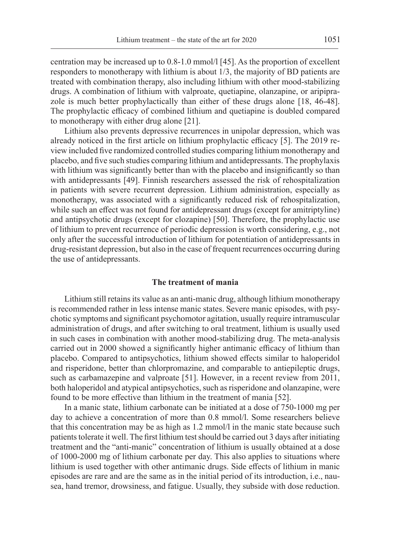centration may be increased up to 0.8-1.0 mmol/l [45]. As the proportion of excellent responders to monotherapy with lithium is about 1/3, the majority of BD patients are treated with combination therapy, also including lithium with other mood-stabilizing drugs. A combination of lithium with valproate, quetiapine, olanzapine, or aripiprazole is much better prophylactically than either of these drugs alone [18, 46-48]. The prophylactic efficacy of combined lithium and quetiapine is doubled compared to monotherapy with either drug alone [21].

Lithium also prevents depressive recurrences in unipolar depression, which was already noticed in the first article on lithium prophylactic efficacy [5]. The 2019 review included five randomized controlled studies comparing lithium monotherapy and placebo, and five such studies comparing lithium and antidepressants. The prophylaxis with lithium was significantly better than with the placebo and insignificantly so than with antidepressants [49]. Finnish researchers assessed the risk of rehospitalization in patients with severe recurrent depression. Lithium administration, especially as monotherapy, was associated with a significantly reduced risk of rehospitalization, while such an effect was not found for antidepressant drugs (except for amitriptyline) and antipsychotic drugs (except for clozapine) [50]. Therefore, the prophylactic use of lithium to prevent recurrence of periodic depression is worth considering, e.g., not only after the successful introduction of lithium for potentiation of antidepressants in drug-resistant depression, but also in the case of frequent recurrences occurring during the use of antidepressants.

#### **The treatment of mania**

Lithium still retains its value as an anti-manic drug, although lithium monotherapy is recommended rather in less intense manic states. Severe manic episodes, with psychotic symptoms and significant psychomotor agitation, usually require intramuscular administration of drugs, and after switching to oral treatment, lithium is usually used in such cases in combination with another mood-stabilizing drug. The meta-analysis carried out in 2000 showed a significantly higher antimanic efficacy of lithium than placebo. Compared to antipsychotics, lithium showed effects similar to haloperidol and risperidone, better than chlorpromazine, and comparable to antiepileptic drugs, such as carbamazepine and valproate [51]. However, in a recent review from 2011, both haloperidol and atypical antipsychotics, such as risperidone and olanzapine, were found to be more effective than lithium in the treatment of mania [52].

In a manic state, lithium carbonate can be initiated at a dose of 750-1000 mg per day to achieve a concentration of more than 0.8 mmol/l. Some researchers believe that this concentration may be as high as 1.2 mmol/l in the manic state because such patients tolerate it well. The first lithium test should be carried out 3 days after initiating treatment and the "anti-manic" concentration of lithium is usually obtained at a dose of 1000-2000 mg of lithium carbonate per day. This also applies to situations where lithium is used together with other antimanic drugs. Side effects of lithium in manic episodes are rare and are the same as in the initial period of its introduction, i.e., nausea, hand tremor, drowsiness, and fatigue. Usually, they subside with dose reduction.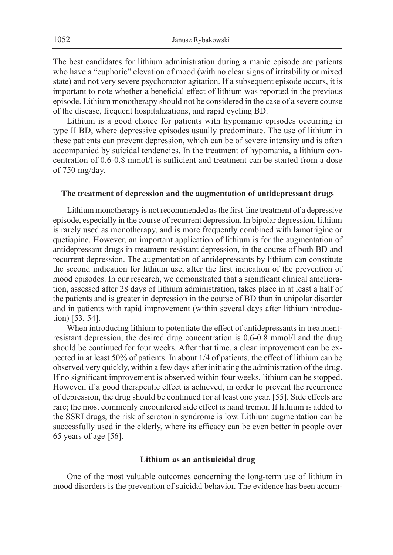The best candidates for lithium administration during a manic episode are patients who have a "euphoric" elevation of mood (with no clear signs of irritability or mixed state) and not very severe psychomotor agitation. If a subsequent episode occurs, it is important to note whether a beneficial effect of lithium was reported in the previous episode. Lithium monotherapy should not be considered in the case of a severe course of the disease, frequent hospitalizations, and rapid cycling BD.

Lithium is a good choice for patients with hypomanic episodes occurring in type II BD, where depressive episodes usually predominate. The use of lithium in these patients can prevent depression, which can be of severe intensity and is often accompanied by suicidal tendencies. In the treatment of hypomania, a lithium concentration of 0.6-0.8 mmol/l is sufficient and treatment can be started from a dose of 750 mg/day.

#### **The treatment of depression and the augmentation of antidepressant drugs**

Lithium monotherapy is not recommended as the first-line treatment of a depressive episode, especially in the course of recurrent depression. In bipolar depression, lithium is rarely used as monotherapy, and is more frequently combined with lamotrigine or quetiapine. However, an important application of lithium is for the augmentation of antidepressant drugs in treatment-resistant depression, in the course of both BD and recurrent depression. The augmentation of antidepressants by lithium can constitute the second indication for lithium use, after the first indication of the prevention of mood episodes. In our research, we demonstrated that a significant clinical amelioration, assessed after 28 days of lithium administration, takes place in at least a half of the patients and is greater in depression in the course of BD than in unipolar disorder and in patients with rapid improvement (within several days after lithium introduction) [53, 54].

When introducing lithium to potentiate the effect of antidepressants in treatmentresistant depression, the desired drug concentration is 0.6-0.8 mmol/l and the drug should be continued for four weeks. After that time, a clear improvement can be expected in at least 50% of patients. In about 1/4 of patients, the effect of lithium can be observed very quickly, within a few days after initiating the administration of the drug. If no significant improvement is observed within four weeks, lithium can be stopped. However, if a good therapeutic effect is achieved, in order to prevent the recurrence of depression, the drug should be continued for at least one year. [55]. Side effects are rare; the most commonly encountered side effect is hand tremor. If lithium is added to the SSRI drugs, the risk of serotonin syndrome is low. Lithium augmentation can be successfully used in the elderly, where its efficacy can be even better in people over 65 years of age [56].

#### **Lithium as an antisuicidal drug**

One of the most valuable outcomes concerning the long-term use of lithium in mood disorders is the prevention of suicidal behavior. The evidence has been accum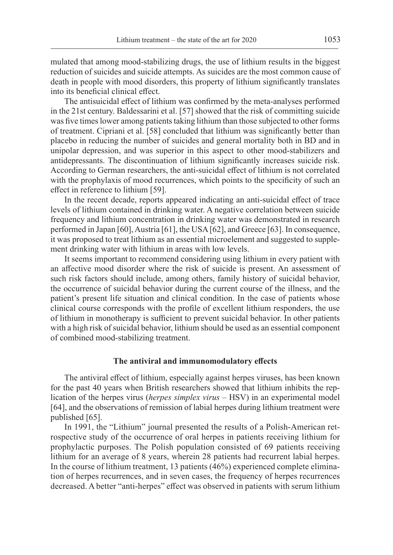mulated that among mood-stabilizing drugs, the use of lithium results in the biggest reduction of suicides and suicide attempts. As suicides are the most common cause of death in people with mood disorders, this property of lithium significantly translates into its beneficial clinical effect.

The antisuicidal effect of lithium was confirmed by the meta-analyses performed in the 21st century. Baldessarini et al. [57] showed that the risk of committing suicide was five times lower among patients taking lithium than those subjected to other forms of treatment. Cipriani et al. [58] concluded that lithium was significantly better than placebo in reducing the number of suicides and general mortality both in BD and in unipolar depression, and was superior in this aspect to other mood-stabilizers and antidepressants. The discontinuation of lithium significantly increases suicide risk. According to German researchers, the anti-suicidal effect of lithium is not correlated with the prophylaxis of mood recurrences, which points to the specificity of such an effect in reference to lithium [59].

In the recent decade, reports appeared indicating an anti-suicidal effect of trace levels of lithium contained in drinking water. A negative correlation between suicide frequency and lithium concentration in drinking water was demonstrated in research performed in Japan [60], Austria [61], the USA [62], and Greece [63]. In consequence, it was proposed to treat lithium as an essential microelement and suggested to supplement drinking water with lithium in areas with low levels.

It seems important to recommend considering using lithium in every patient with an affective mood disorder where the risk of suicide is present. An assessment of such risk factors should include, among others, family history of suicidal behavior, the occurrence of suicidal behavior during the current course of the illness, and the patient's present life situation and clinical condition. In the case of patients whose clinical course corresponds with the profile of excellent lithium responders, the use of lithium in monotherapy is sufficient to prevent suicidal behavior. In other patients with a high risk of suicidal behavior, lithium should be used as an essential component of combined mood-stabilizing treatment.

#### **The antiviral and immunomodulatory effects**

The antiviral effect of lithium, especially against herpes viruses, has been known for the past 40 years when British researchers showed that lithium inhibits the replication of the herpes virus (*herpes simplex virus* – HSV) in an experimental model [64], and the observations of remission of labial herpes during lithium treatment were published [65].

In 1991, the "Lithium" journal presented the results of a Polish-American retrospective study of the occurrence of oral herpes in patients receiving lithium for prophylactic purposes. The Polish population consisted of 69 patients receiving lithium for an average of 8 years, wherein 28 patients had recurrent labial herpes. In the course of lithium treatment, 13 patients (46%) experienced complete elimination of herpes recurrences, and in seven cases, the frequency of herpes recurrences decreased. A better "anti-herpes" effect was observed in patients with serum lithium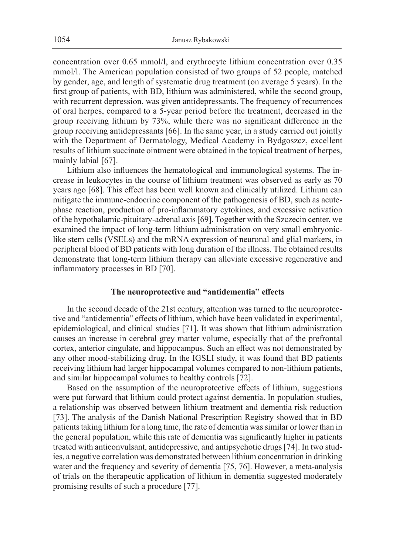concentration over 0.65 mmol/l, and erythrocyte lithium concentration over 0.35 mmol/l. The American population consisted of two groups of 52 people, matched by gender, age, and length of systematic drug treatment (on average 5 years). In the first group of patients, with BD, lithium was administered, while the second group, with recurrent depression, was given antidepressants. The frequency of recurrences of oral herpes, compared to a 5-year period before the treatment, decreased in the group receiving lithium by 73%, while there was no significant difference in the group receiving antidepressants [66]. In the same year, in a study carried out jointly with the Department of Dermatology, Medical Academy in Bydgoszcz, excellent results of lithium succinate ointment were obtained in the topical treatment of herpes, mainly labial [67].

Lithium also influences the hematological and immunological systems. The increase in leukocytes in the course of lithium treatment was observed as early as 70 years ago [68]. This effect has been well known and clinically utilized. Lithium can mitigate the immune-endocrine component of the pathogenesis of BD, such as acutephase reaction, production of pro-inflammatory cytokines, and excessive activation of the hypothalamic-pituitary-adrenal axis [69]. Together with the Szczecin center, we examined the impact of long-term lithium administration on very small embryoniclike stem cells (VSELs) and the mRNA expression of neuronal and glial markers, in peripheral blood of BD patients with long duration of the illness. The obtained results demonstrate that long-term lithium therapy can alleviate excessive regenerative and inflammatory processes in BD [70].

#### **The neuroprotective and "antidementia" effects**

In the second decade of the 21st century, attention was turned to the neuroprotective and "antidementia" effects of lithium, which have been validated in experimental, epidemiological, and clinical studies [71]. It was shown that lithium administration causes an increase in cerebral grey matter volume, especially that of the prefrontal cortex, anterior cingulate, and hippocampus. Such an effect was not demonstrated by any other mood-stabilizing drug. In the IGSLI study, it was found that BD patients receiving lithium had larger hippocampal volumes compared to non-lithium patients, and similar hippocampal volumes to healthy controls [72].

Based on the assumption of the neuroprotective effects of lithium, suggestions were put forward that lithium could protect against dementia. In population studies, a relationship was observed between lithium treatment and dementia risk reduction [73]. The analysis of the Danish National Prescription Registry showed that in BD patients taking lithium for a long time, the rate of dementia was similar or lower than in the general population, while this rate of dementia was significantly higher in patients treated with anticonvulsant, antidepressive, and antipsychotic drugs [74]. In two studies, a negative correlation was demonstrated between lithium concentration in drinking water and the frequency and severity of dementia [75, 76]. However, a meta-analysis of trials on the therapeutic application of lithium in dementia suggested moderately promising results of such a procedure [77].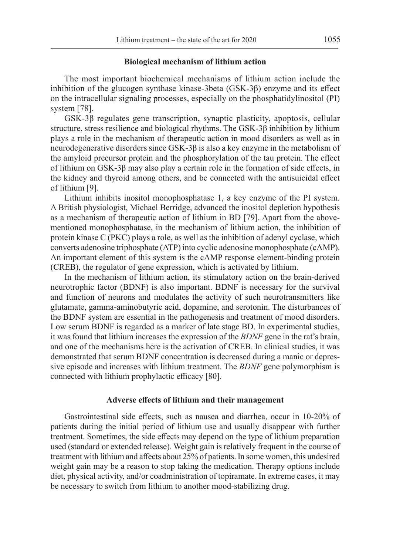#### **Biological mechanism of lithium action**

The most important biochemical mechanisms of lithium action include the inhibition of the glucogen synthase kinase-3beta (GSK-3β) enzyme and its effect on the intracellular signaling processes, especially on the phosphatidylinositol (PI) system [78].

GSK-3β regulates gene transcription, synaptic plasticity, apoptosis, cellular structure, stress resilience and biological rhythms. The GSK-3β inhibition by lithium plays a role in the mechanism of therapeutic action in mood disorders as well as in neurodegenerative disorders since GSK-3β is also a key enzyme in the metabolism of the amyloid precursor protein and the phosphorylation of the tau protein. The effect of lithium on GSK-3 $\beta$  may also play a certain role in the formation of side effects, in the kidney and thyroid among others, and be connected with the antisuicidal effect of lithium [9].

Lithium inhibits inositol monophosphatase 1, a key enzyme of the PI system. A British physiologist, Michael Berridge, advanced the inositol depletion hypothesis as a mechanism of therapeutic action of lithium in BD [79]. Apart from the abovementioned monophosphatase, in the mechanism of lithium action, the inhibition of protein kinase C (PKC) plays a role, as well as the inhibition of adenyl cyclase, which converts adenosine triphosphate (ATP) into cyclic adenosine monophosphate (cAMP). An important element of this system is the cAMP response element-binding protein (CREB), the regulator of gene expression, which is activated by lithium.

In the mechanism of lithium action, its stimulatory action on the brain-derived neurotrophic factor (BDNF) is also important. BDNF is necessary for the survival and function of neurons and modulates the activity of such neurotransmitters like glutamate, gamma-aminobutyric acid, dopamine, and serotonin. The disturbances of the BDNF system are essential in the pathogenesis and treatment of mood disorders. Low serum BDNF is regarded as a marker of late stage BD. In experimental studies, it was found that lithium increases the expression of the *BDNF* gene in the rat's brain, and one of the mechanisms here is the activation of CREB. In clinical studies, it was demonstrated that serum BDNF concentration is decreased during a manic or depressive episode and increases with lithium treatment. The *BDNF* gene polymorphism is connected with lithium prophylactic efficacy [80].

#### **Adverse effects of lithium and their management**

Gastrointestinal side effects, such as nausea and diarrhea, occur in 10-20% of patients during the initial period of lithium use and usually disappear with further treatment. Sometimes, the side effects may depend on the type of lithium preparation used (standard or extended release). Weight gain is relatively frequent in the course of treatment with lithium and affects about 25% of patients. In some women, this undesired weight gain may be a reason to stop taking the medication. Therapy options include diet, physical activity, and/or coadministration of topiramate. In extreme cases, it may be necessary to switch from lithium to another mood-stabilizing drug.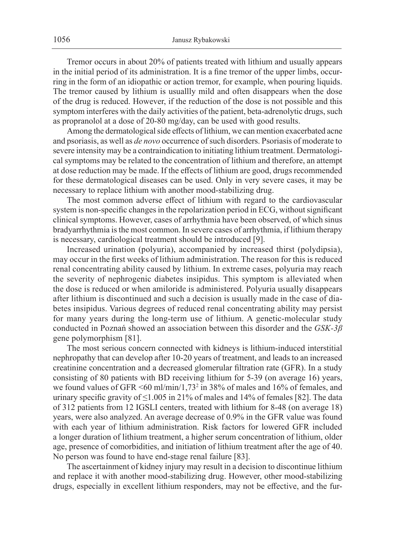Tremor occurs in about 20% of patients treated with lithium and usually appears in the initial period of its administration. It is a fine tremor of the upper limbs, occurring in the form of an idiopathic or action tremor, for example, when pouring liquids. The tremor caused by lithium is usuallly mild and often disappears when the dose of the drug is reduced. However, if the reduction of the dose is not possible and this symptom interferes with the daily activities of the patient, beta-adrenolytic drugs, such as propranolol at a dose of 20-80 mg/day, can be used with good results.

Among the dermatological side effects of lithium, we can mention exacerbated acne and psoriasis, as well as *de novo* occurrence of such disorders. Psoriasis of moderate to severe intensity may be a contraindication to initiating lithium treatment. Dermatological symptoms may be related to the concentration of lithium and therefore, an attempt at dose reduction may be made. If the effects of lithium are good, drugs recommended for these dermatological diseases can be used. Only in very severe cases, it may be necessary to replace lithium with another mood-stabilizing drug.

The most common adverse effect of lithium with regard to the cardiovascular system is non-specific changes in the repolarization period in ECG, without significant clinical symptoms. However, cases of arrhythmia have been observed, of which sinus bradyarrhythmia is the most common. In severe cases of arrhythmia, if lithium therapy is necessary, cardiological treatment should be introduced [9].

Increased urination (polyuria), accompanied by increased thirst (polydipsia), may occur in the first weeks of lithium administration. The reason for this is reduced renal concentrating ability caused by lithium. In extreme cases, polyuria may reach the severity of nephrogenic diabetes insipidus. This symptom is alleviated when the dose is reduced or when amiloride is administered. Polyuria usually disappears after lithium is discontinued and such a decision is usually made in the case of diabetes insipidus. Various degrees of reduced renal concentrating ability may persist for many years during the long-term use of lithium. A genetic-molecular study conducted in Poznań showed an association between this disorder and the *GSK-3β* gene polymorphism [81].

The most serious concern connected with kidneys is lithium-induced interstitial nephropathy that can develop after 10-20 years of treatment, and leads to an increased creatinine concentration and a decreased glomerular filtration rate (GFR). In a study consisting of 80 patients with BD receiving lithium for 5-39 (on average 16) years, we found values of GFR  $\leq 60 \text{ ml/min}/1,73^2$  in 38% of males and 16% of females, and urinary specific gravity of ≤1.005 in 21% of males and 14% of females [82]. The data of 312 patients from 12 IGSLI centers, treated with lithium for 8-48 (on average 18) years, were also analyzed. An average decrease of 0.9% in the GFR value was found with each year of lithium administration. Risk factors for lowered GFR included a longer duration of lithium treatment, a higher serum concentration of lithium, older age, presence of comorbidities, and initiation of lithium treatment after the age of 40. No person was found to have end-stage renal failure [83].

The ascertainment of kidney injury may result in a decision to discontinue lithium and replace it with another mood-stabilizing drug. However, other mood-stabilizing drugs, especially in excellent lithium responders, may not be effective, and the fur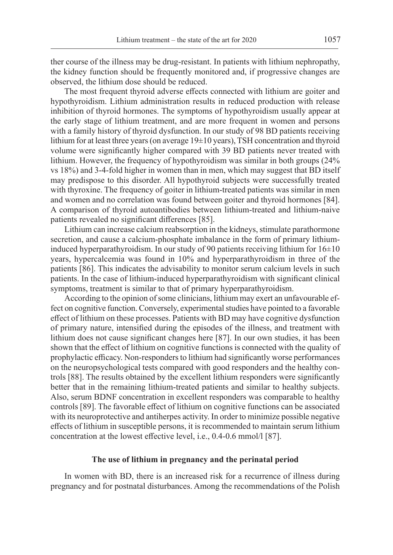ther course of the illness may be drug-resistant. In patients with lithium nephropathy, the kidney function should be frequently monitored and, if progressive changes are observed, the lithium dose should be reduced.

The most frequent thyroid adverse effects connected with lithium are goiter and hypothyroidism. Lithium administration results in reduced production with release inhibition of thyroid hormones. The symptoms of hypothyroidism usually appear at the early stage of lithium treatment, and are more frequent in women and persons with a family history of thyroid dysfunction. In our study of 98 BD patients receiving lithium for at least three years (on average  $19\pm10$  years), TSH concentration and thyroid volume were significantly higher compared with 39 BD patients never treated with lithium. However, the frequency of hypothyroidism was similar in both groups (24% vs 18%) and 3-4-fold higher in women than in men, which may suggest that BD itself may predispose to this disorder. All hypothyroid subjects were successfully treated with thyroxine. The frequency of goiter in lithium-treated patients was similar in men and women and no correlation was found between goiter and thyroid hormones [84]. A comparison of thyroid autoantibodies between lithium-treated and lithium-naive patients revealed no significant differences [85].

Lithium can increase calcium reabsorption in the kidneys, stimulate parathormone secretion, and cause a calcium-phosphate imbalance in the form of primary lithiuminduced hyperparathyroidism. In our study of 90 patients receiving lithium for  $16\pm10$ years, hypercalcemia was found in 10% and hyperparathyroidism in three of the patients [86]. This indicates the advisability to monitor serum calcium levels in such patients. In the case of lithium-induced hyperparathyroidism with significant clinical symptoms, treatment is similar to that of primary hyperparathyroidism.

According to the opinion of some clinicians, lithium may exert an unfavourable effect on cognitive function. Conversely, experimental studies have pointed to a favorable effect of lithium on these processes. Patients with BD may have cognitive dysfunction of primary nature, intensified during the episodes of the illness, and treatment with lithium does not cause significant changes here [87]. In our own studies, it has been shown that the effect of lithium on cognitive functions is connected with the quality of prophylactic efficacy. Non-responders to lithium had significantly worse performances on the neuropsychological tests compared with good responders and the healthy controls [88]. The results obtained by the excellent lithium responders were significantly better that in the remaining lithium-treated patients and similar to healthy subjects. Also, serum BDNF concentration in excellent responders was comparable to healthy controls [89]. The favorable effect of lithium on cognitive functions can be associated with its neuroprotective and antiherpes activity. In order to minimize possible negative effects of lithium in susceptible persons, it is recommended to maintain serum lithium concentration at the lowest effective level, i.e., 0.4-0.6 mmol/l [87].

#### **The use of lithium in pregnancy and the perinatal period**

In women with BD, there is an increased risk for a recurrence of illness during pregnancy and for postnatal disturbances. Among the recommendations of the Polish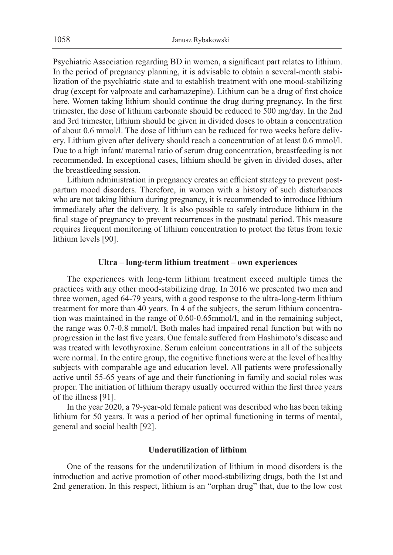Psychiatric Association regarding BD in women, a significant part relates to lithium. In the period of pregnancy planning, it is advisable to obtain a several-month stabilization of the psychiatric state and to establish treatment with one mood-stabilizing drug (except for valproate and carbamazepine). Lithium can be a drug of first choice here. Women taking lithium should continue the drug during pregnancy. In the first trimester, the dose of lithium carbonate should be reduced to 500 mg/day. In the 2nd and 3rd trimester, lithium should be given in divided doses to obtain a concentration of about 0.6 mmol/l. The dose of lithium can be reduced for two weeks before delivery. Lithium given after delivery should reach a concentration of at least 0.6 mmol/l. Due to a high infant/ maternal ratio of serum drug concentration, breastfeeding is not recommended. In exceptional cases, lithium should be given in divided doses, after the breastfeeding session.

Lithium administration in pregnancy creates an efficient strategy to prevent postpartum mood disorders. Therefore, in women with a history of such disturbances who are not taking lithium during pregnancy, it is recommended to introduce lithium immediately after the delivery. It is also possible to safely introduce lithium in the final stage of pregnancy to prevent recurrences in the postnatal period. This measure requires frequent monitoring of lithium concentration to protect the fetus from toxic lithium levels [90].

#### **Ultra – long-term lithium treatment – own experiences**

The experiences with long-term lithium treatment exceed multiple times the practices with any other mood-stabilizing drug. In 2016 we presented two men and three women, aged 64-79 years, with a good response to the ultra-long-term lithium treatment for more than 40 years. In 4 of the subjects, the serum lithium concentration was maintained in the range of 0.60-0.65mmol/l, and in the remaining subject, the range was 0.7-0.8 mmol/l. Both males had impaired renal function but with no progression in the last five years. One female suffered from Hashimoto's disease and was treated with levothyroxine. Serum calcium concentrations in all of the subjects were normal. In the entire group, the cognitive functions were at the level of healthy subjects with comparable age and education level. All patients were professionally active until 55-65 years of age and their functioning in family and social roles was proper. The initiation of lithium therapy usually occurred within the first three years of the illness [91].

In the year 2020, a 79-year-old female patient was described who has been taking lithium for 50 years. It was a period of her optimal functioning in terms of mental, general and social health [92].

# **Underutilization of lithium**

One of the reasons for the underutilization of lithium in mood disorders is the introduction and active promotion of other mood-stabilizing drugs, both the 1st and 2nd generation. In this respect, lithium is an "orphan drug" that, due to the low cost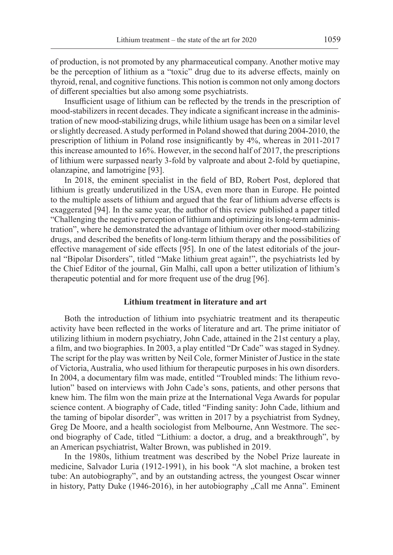of production, is not promoted by any pharmaceutical company. Another motive may be the perception of lithium as a "toxic" drug due to its adverse effects, mainly on thyroid, renal, and cognitive functions. This notion is common not only among doctors of different specialties but also among some psychiatrists.

Insufficient usage of lithium can be reflected by the trends in the prescription of mood-stabilizers in recent decades. They indicate a significant increase in the administration of new mood-stabilizing drugs, while lithium usage has been on a similar level or slightly decreased. A study performed in Poland showed that during 2004-2010, the prescription of lithium in Poland rose insignificantly by 4%, whereas in 2011-2017 this increase amounted to 16%. However, in the second half of 2017, the prescriptions of lithium were surpassed nearly 3-fold by valproate and about 2-fold by quetiapine, olanzapine, and lamotrigine [93].

In 2018, the eminent specialist in the field of BD, Robert Post, deplored that lithium is greatly underutilized in the USA, even more than in Europe. He pointed to the multiple assets of lithium and argued that the fear of lithium adverse effects is exaggerated [94]. In the same year, the author of this review published a paper titled "Challenging the negative perception of lithium and optimizing its long-term administration", where he demonstrated the advantage of lithium over other mood-stabilizing drugs, and described the benefits of long-term lithium therapy and the possibilities of effective management of side effects [95]. In one of the latest editorials of the journal "Bipolar Disorders", titled "Make lithium great again!", the psychiatrists led by the Chief Editor of the journal, Gin Malhi, call upon a better utilization of lithium's therapeutic potential and for more frequent use of the drug [96].

## **Lithium treatment in literature and art**

Both the introduction of lithium into psychiatric treatment and its therapeutic activity have been reflected in the works of literature and art. The prime initiator of utilizing lithium in modern psychiatry, John Cade, attained in the 21st century a play, a film, and two biographies. In 2003, a play entitled "Dr Cade" was staged in Sydney. The script for the play was written by Neil Cole, former Minister of Justice in the state of Victoria, Australia, who used lithium for therapeutic purposes in his own disorders. In 2004, a documentary film was made, entitled "Troubled minds: The lithium revolution" based on interviews with John Cade's sons, patients, and other persons that knew him. The film won the main prize at the International Vega Awards for popular science content. A biography of Cade, titled "Finding sanity: John Cade, lithium and the taming of bipolar disorder", was written in 2017 by a psychiatrist from Sydney, Greg De Moore, and a health sociologist from Melbourne, Ann Westmore. The second biography of Cade, titled "Lithium: a doctor, a drug, and a breakthrough", by an American psychiatrist, Walter Brown, was published in 2019.

In the 1980s, lithium treatment was described by the Nobel Prize laureate in medicine, Salvador Luria (1912-1991), in his book "A slot machine, a broken test tube: An autobiography", and by an outstanding actress, the youngest Oscar winner in history, Patty Duke (1946-2016), in her autobiography "Call me Anna". Eminent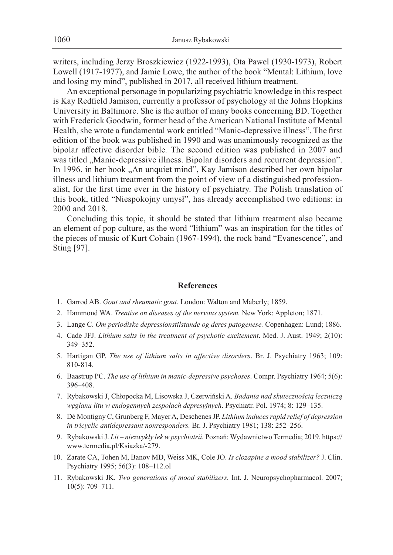writers, including Jerzy Broszkiewicz (1922-1993), Ota Pawel (1930-1973), Robert Lowell (1917-1977), and Jamie Lowe, the author of the book "Mental: Lithium, love and losing my mind", published in 2017, all received lithium treatment.

An exceptional personage in popularizing psychiatric knowledge in this respect is Kay Redfield Jamison, currently a professor of psychology at the Johns Hopkins University in Baltimore. She is the author of many books concerning BD. Together with Frederick Goodwin, former head of the American National Institute of Mental Health, she wrote a fundamental work entitled "Manic-depressive illness". The first edition of the book was published in 1990 and was unanimously recognized as the bipolar affective disorder bible*.* The second edition was published in 2007 and was titled "Manic-depressive illness. Bipolar disorders and recurrent depression". In 1996, in her book "An unquiet mind", Kay Jamison described her own bipolar illness and lithium treatment from the point of view of a distinguished professionalist, for the first time ever in the history of psychiatry. The Polish translation of this book, titled "Niespokojny umysł", has already accomplished two editions: in 2000 and 2018.

Concluding this topic, it should be stated that lithium treatment also became an element of pop culture, as the word "lithium" was an inspiration for the titles of the pieces of music of Kurt Cobain (1967-1994), the rock band "Evanescence", and Sting [97].

#### **References**

- 1. Garrod AB. *Gout and rheumatic gout.* London: Walton and Maberly; 1859.
- 2. Hammond WA. *Treatise on diseases of the nervous system.* New York: Appleton; 1871.
- 3. Lange C. *Om periodiske depressionstilstande og deres patogenese.* Copenhagen: Lund; 1886.
- 4. Cade JFJ. *Lithium salts in the treatment of psychotic excitement*. Med. J. Aust. 1949; 2(10): 349–352.
- 5. Hartigan GP. *The use of lithium salts in affective disorders*. Br. J. Psychiatry 1963; 109: 810-814.
- 6. Baastrup PC. *The use of lithium in manic-depressive psychoses*. Compr. Psychiatry 1964; 5(6): 396–408.
- 7. Rybakowski J, Chłopocka M, Lisowska J, Czerwiński A. *Badania nad skutecznością leczniczą węglanu litu w endogennych zespołach depresyjnych*. Psychiatr. Pol. 1974; 8: 129–135.
- 8. Dé Montigny C, Grunberg F, Mayer A, Deschenes JP. *Lithium induces rapid relief of depression in tricyclic antidepressant nonresponders.* Br. J. Psychiatry 1981; 138: 252–256.
- 9. Rybakowski J. *Lit niezwykły lek w psychiatrii.* Poznań: Wydawnictwo Termedia; 2019. https:// www.termedia.pl/Ksiazka/-279.
- 10. Zarate CA, Tohen M, Banov MD, Weiss MK, Cole JO. *Is clozapine a mood stabilizer?* J. Clin. Psychiatry 1995; 56(3): 108–112.ol
- 11. Rybakowski JK*. Two generations of mood stabilizers.* Int. J. Neuropsychopharmacol. 2007; 10(5): 709–711.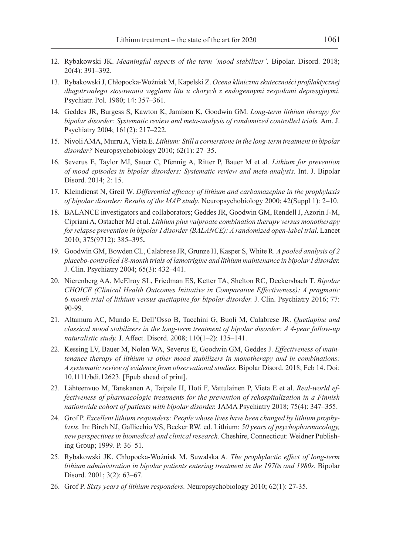- 12. Rybakowski JK. *Meaningful aspects of the term 'mood stabilizer'.* Bipolar. Disord. 2018; 20(4): 391–392.
- 13. Rybakowski J, Chłopocka-Woźniak M, Kapelski Z. *Ocena kliniczna skuteczności profilaktycznej długotrwałego stosowania węglanu litu u chorych z endogennymi zespołami depresyjnymi.* Psychiatr. Pol. 1980; 14: 357–361.
- 14. Geddes JR, Burgess S, Kawton K, Jamison K, Goodwin GM. *Long-term lithium therapy for bipolar disorder: Systematic review and meta-analysis of randomized controlled trials.* Am. J. Psychiatry 2004; 161(2): 217–222.
- 15. Nivoli AMA, Murru A, Vieta E. *Lithium: Still a cornerstone in the long-term treatment in bipolar disorder?* Neuropsychobiology 2010; 62(1): 27–35.
- 16. Severus E, Taylor MJ, Sauer C, Pfennig A, Ritter P, Bauer M et al*. Lithium for prevention of mood episodes in bipolar disorders: Systematic review and meta-analysis.* Int. J. Bipolar Disord. 2014; 2: 15.
- 17. Kleindienst N, Greil W. *Differential efficacy of lithium and carbamazepine in the prophylaxis of bipolar disorder: Results of the MAP study*. Neuropsychobiology 2000; 42(Suppl 1): 2–10.
- 18. BALANCE investigators and collaborators; Geddes JR, Goodwin GM, Rendell J, Azorin J-M, Cipriani A, Ostacher MJ et al. *Lithium plus valproate combination therapy versus monotherapy for relapse prevention in bipolar I disorder (BALANCE): A randomized open-label trial*. Lancet 2010; 375(9712): 385–395**.**
- 19. Goodwin GM, Bowden CL, Calabrese JR, Grunze H, Kasper S, White R*. A pooled analysis of 2 placebo-controlled 18-month trials of lamotrigine and lithium maintenance in bipolar I disorder.* J. Clin. Psychiatry 2004; 65(3): 432–441.
- 20. Nierenberg AA, McElroy SL, Friedman ES, Ketter TA, Shelton RC, Deckersbach T. *Bipolar CHOICE (Clinical Health Outcomes Initiative in Comparative Effectiveness): A pragmatic 6-month trial of lithium versus quetiapine for bipolar disorder.* J. Clin. Psychiatry 2016; 77: 90-99.
- 21. Altamura AC, Mundo E, Dell'Osso B, Tacchini G, Buoli M, Calabrese JR. *Quetiapine and classical mood stabilizers in the long-term treatment of bipolar disorder: A 4-year follow-up naturalistic study.* J. Affect. Disord. 2008; 110(1–2): 135–141.
- 22. Kessing LV, Bauer M, Nolen WA, Severus E, Goodwin GM, Geddes J. *Effectiveness of maintenance therapy of lithium vs other mood stabilizers in monotherapy and in combinations: A systematic review of evidence from observational studies.* Bipolar Disord. 2018; Feb 14. Doi: 10.1111/bdi.12623. [Epub ahead of print].
- 23. Lähteenvuo M, Tanskanen A, Taipale H, Hoti F, Vattulainen P, Vieta E et al. *Real-world effectiveness of pharmacologic treatments for the prevention of rehospitalization in a Finnish nationwide cohort of patients with bipolar disorder.* JAMA Psychiatry 2018; 75(4): 347–355.
- 24. Grof P. *Excellent lithium responders: People whose lives have been changed by lithium prophylaxis.* In: Birch NJ, Gallicchio VS, Becker RW. ed. Lithium: *50 years of psychopharmacology, new perspectives in biomedical and clinical research.* Cheshire, Connecticut: Weidner Publishing Group; 1999. P. 36–51.
- 25. Rybakowski JK, Chłopocka-Woźniak M, Suwalska A. *The prophylactic effect of long-term lithium administration in bipolar patients entering treatment in the 1970s and 1980s.* Bipolar Disord. 2001; 3(2): 63–67.
- 26. Grof P. *Sixty years of lithium responders.* Neuropsychobiology 2010; 62(1): 27-35.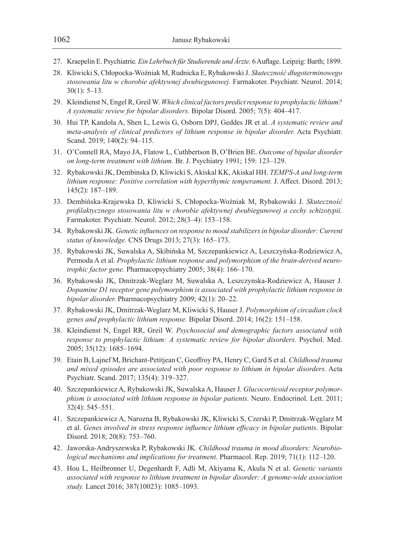- 27. Kraepelin E. Psychiatrie*. Ein Lehrbuch für Studierende und Ärzte.* 6 Auflage. Leipzig: Barth; 1899.
- 28. Kliwicki S, Chłopocka-Woźniak M, Rudnicka E, Rybakowski J. *Skuteczność długoterminowego stosowania litu w chorobie afektywnej dwubiegunowej.* Farmakoter. Psychiatr. Neurol. 2014; 30(1): 5–13.
- 29. Kleindienst N, Engel R, Greil W. *Which clinical factors predict response to prophylactic lithium? A systematic review for bipolar disorders.* Bipolar Disord. 2005; 7(5): 404–417.
- 30. Hui TP, Kandola A, Shen L, Lewis G, Osborn DPJ, Geddes JR et al. *A systematic review and meta-analysis of clinical predictors of lithium response in bipolar disorder.* Acta Psychiatr. Scand. 2019; 140(2): 94-115.
- 31. O'Connell RA, Mayo JA, Flatow L, Cuthbertson B, O'Brien BE. *Outcome of bipolar disorder on long-term treatment with lithium.* Br. J. Psychiatry 1991; 159: 123–129.
- 32. Rybakowski JK, Dembinska D, Kliwicki S, Akiskal KK, Akiskal HH. *TEMPS-A and long-term lithium response: Positive correlation with hyperthymic temperament.* J. Affect. Disord. 2013; 145(2): 187–189.
- 33. Dembińska-Krajewska D, Kliwicki S, Chłopocka-Woźniak M, Rybakowski J. *Skuteczność profilaktycznego stosowania litu w chorobie afektywnej dwubiegunowej a cechy schizotypii.* Farmakoter. Psychiatr. Neurol. 2012; 28(3–4): 153–158.
- 34. Rybakowski JK. *Genetic influences on response to mood stabilizers in bipolar disorder: Current status of knowledge.* CNS Drugs 2013; 27(3): 165–173.
- 35. Rybakowski JK, Suwalska A, Skibińska M, Szczepankiewicz A, Leszczyńska-Rodziewicz A, Permoda A et al. *Prophylactic lithium response and polymorphism of the brain-derived neurotrophic factor gene.* Pharmacopsychiatry 2005; 38(4): 166–170.
- 36. Rybakowski JK, Dmitrzak-Weglarz M, Suwalska A, Leszczynska-Rodziewicz A, Hauser J. *Dopamine D1 receptor gene polymorphism is associated with prophylactic lithium response in bipolar disorder.* Pharmacopsychiatry 2009; 42(1): 20–22.
- 37. Rybakowski JK, Dmitrzak-Weglarz M, Kliwicki S, Hauser J. *Polymorphism of circadian clock genes and prophylactic lithium response.* Bipolar Disord. 2014; 16(2): 151–158.
- 38. Kleindienst N, Engel RR, Greil W. *Psychosocial and demographic factors associated with response to prophylactic lithium: A systematic review for bipolar disorders.* Psychol. Med. 2005; 35(12): 1685–1694.
- 39. Etain B, Lajnef M, Brichant-Petitjean C, Geoffroy PA, Henry C, Gard S et al. *Childhood trauma and mixed episodes are associated with poor response to lithium in bipolar disorders.* Acta Psychiatr. Scand. 2017; 135(4): 319–327.
- 40. Szczepankiewicz A, Rybakowski JK, Suwalska A, Hauser J. *Glucocorticoid receptor polymorphism is associated with lithium response in bipolar patients.* Neuro. Endocrinol. Lett. 2011; 32(4): 545–551.
- 41. Szczepankiewicz A, Narozna B, Rybakowski JK, Kliwicki S, Czerski P, Dmitrzak-Węglarz M et al. *Genes involved in stress response influence lithium efficacy in bipolar patients*. Bipolar Disord. 2018; 20(8): 753–760.
- 42. Jaworska-Andryszewska P, Rybakowski JK. *Childhood trauma in mood disorders: Neurobiological mechanisms and implications for treatment.* Pharmacol. Rep. 2019; 71(1): 112–120.
- 43. Hou L, Heilbronner U, Degenhardt F, Adli M, Akiyama K, Akula N et al. *Genetic variants associated with response to lithium treatment in bipolar disorder: A genome-wide association study.* Lancet 2016; 387(10023): 1085–1093.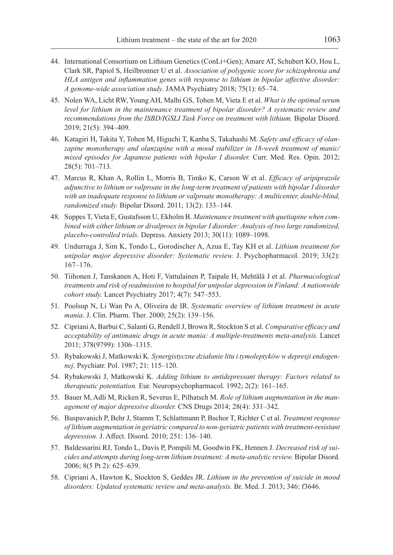- 44. International Consortium on Lithium Genetics (ConLi+Gen); Amare AT, Schubert KO, Hou L, Clark SR, Papiol S, Heilbronner U et al. *Association of polygenic score for schizophrenia and HLA antigen and inflammation genes with response to lithium in bipolar affective disorder: A genome-wide association study.* JAMA Psychiatry 2018; 75(1): 65–74.
- 45. Nolen WA, Licht RW, Young AH, Malhi GS, Tohen M, Vieta E et al. *What is the optimal serum level for lithium in the maintenance treatment of bipolar disorder? A systematic review and recommendations from the ISBD/IGSLI Task Force on treatment with lithium.* Bipolar Disord. 2019; 21(5): 394–409.
- 46. Katagiri H, Takita Y, Tohen M, Higuchi T, Kanba S, Takahashi M. *Safety and efficacy of olanzapine monotherapy and olanzapine with a mood stabilizer in 18-week treatment of manic/ mixed episodes for Japanese patients with bipolar I disorder.* Curr. Med. Res. Opin. 2012; 28(5): 701–713.
- 47. Marcus R, Khan A, Rollin L, Morris B, Timko K, Carson W et al. *Efficacy of aripiprazole adjunctive to lithium or valproate in the long-term treatment of patients with bipolar I disorder with an inadequate response to lithium or valproate monotherapy: A multicenter, double-blind, randomized study.* Bipolar Disord. 2011; 13(2): 133–144.
- 48. Suppes T, Vieta E, Gustafsson U, Ekholm B. *Maintenance treatment with quetiapine when combined with either lithium or divalproex in bipolar I disorder: Analysis of two large randomized, placebo-controlled trials.* Depress. Anxiety 2013; 30(11): 1089–1098.
- 49. Undurraga J, Sim K, Tondo L, Gorodischer A, Azua E, Tay KH et al. *Lithium treatment for unipolar major depressive disorder: Systematic review.* J. Psychopharmacol. 2019; 33(2): 167–176.
- 50. Tiihonen J, Tanskanen A, Hoti F, Vattulainen P, Taipale H, Mehtälä J et al. *Pharmacological treatments and risk of readmission to hospital for unipolar depression in Finland: A nationwide cohort study.* Lancet Psychiatry 2017; 4(7): 547–553.
- 51. Poolsup N, Li Wan Po A, Oliveira de IR. *Systematic overview of lithium treatment in acute mania*. J. Clin. Pharm. Ther. 2000; 25(2): 139–156.
- 52. Cipriani A, Barbui C, Salanti G, Rendell J, Brown R, Stockton S et al. *Comparative efficacy and acceptability of antimanic drugs in acute mania: A multiple-treatments meta-analysis.* Lancet 2011; 378(9799): 1306–1315.
- 53. Rybakowski J, Matkowski K*. Synergistyczne działanie litu i tymoleptyków w depresji endogennej.* Psychiatr. Pol. 1987; 21: 115–120.
- 54. Rybakowski J, Matkowski K. *Adding lithium to antidepressant therapy: Factors related to therapeutic potentiation.* Eur. Neuropsychopharmacol. 1992; 2(2): 161–165.
- 55. Bauer M, Adli M, Ricken R, Severus E, Pilhatsch M. *Role of lithium augmentation in the management of major depressive disorder.* CNS Drugs 2014; 28(4): 331–342.
- 56. Buspavanich P, Behr J, Stamm T, Schlattmann P, Bschor T, Richter C et al. *Treatment response of lithium augmentation in geriatric compared to non-geriatric patients with treatment-resistant depression.* J. Affect. Disord. 2010; 251: 136–140.
- 57. Baldessarini RJ, Tondo L, Davis P, Pompili M, Goodwin FK, Hennen J. *Decreased risk of suicides and attempts during long-term lithium treatment: A meta-analytic review.* Bipolar Disord. 2006; 8(5 Pt 2): 625–639.
- 58. Cipriani A, Hawton K, Stockton S, Geddes JR. *Lithium in the prevention of suicide in mood disorders: Updated systematic review and meta-analysis.* Br. Med. J. 2013; 346: f3646.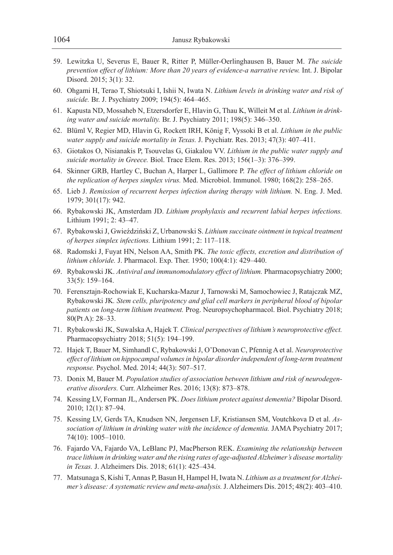- 59. Lewitzka U, Severus E, Bauer R, Ritter P, Müller-Oerlinghausen B, Bauer M. *The suicide prevention effect of lithium: More than 20 years of evidence-a narrative review.* Int. J. Bipolar Disord. 2015; 3(1): 32.
- 60. Ohgami H, Terao T, Shiotsuki I, Ishii N, Iwata N. *Lithium levels in drinking water and risk of suicide.* Br. J. Psychiatry 2009; 194(5): 464–465.
- 61. Kapusta ND, Mossaheb N, Etzersdorfer E, Hlavin G, Thau K, Willeit M et al. *Lithium in drinking water and suicide mortality.* Br. J. Psychiatry 2011; 198(5): 346–350.
- 62. Blüml V, Regier MD, Hlavin G, Rockett IRH, König F, Vyssoki B et al. *Lithium in the public water supply and suicide mortality in Texas.* J. Psychiatr. Res. 2013; 47(3): 407–411.
- 63. Giotakos O, Nisianakis P, Tsouvelas G, Giakalou VV. *Lithium in the public water supply and suicide mortality in Greece.* Biol. Trace Elem. Res. 2013; 156(1–3): 376–399.
- 64. Skinner GRB, Hartley C, Buchan A, Harper L, Gallimore P. *The effect of lithium chloride on the replication of herpes simplex virus.* Med. Microbiol. Immunol. 1980; 168(2): 258–265.
- 65. Lieb J. *Remission of recurrent herpes infection during therapy with lithium.* N. Eng. J. Med. 1979; 301(17): 942.
- 66. Rybakowski JK, Amsterdam JD. *Lithium prophylaxis and recurrent labial herpes infections.* Lithium 1991; 2: 43–47.
- 67. Rybakowski J, Gwieździński Z, Urbanowski S. *Lithium succinate ointment in topical treatment of herpes simplex infections.* Lithium 1991; 2: 117–118.
- 68. Radomski J, Fuyat HN, Nelson AA, Smith PK. *The toxic effects, excretion and distribution of lithium chloride.* J. Pharmacol. Exp. Ther. 1950; 100(4:1): 429–440.
- 69. Rybakowski JK. *Antiviral and immunomodulatory effect of lithium.* Pharmacopsychiatry 2000; 33(5): 159–164.
- 70. Ferensztajn-Rochowiak E, Kucharska-Mazur J, Tarnowski M, Samochowiec J, Ratajczak MZ, Rybakowski JK*. Stem cells, pluripotency and glial cell markers in peripheral blood of bipolar patients on long-term lithium treatment.* Prog. Neuropsychopharmacol. Biol. Psychiatry 2018; 80(Pt A): 28–33.
- 71. Rybakowski JK, Suwalska A, Hajek T. *Clinical perspectives of lithium's neuroprotective effect.*  Pharmacopsychiatry 2018; 51(5): 194–199.
- 72. Hajek T, Bauer M, Simhandl C, Rybakowski J, O'Donovan C, Pfennig A et al. *Neuroprotective effect of lithium on hippocampal volumes in bipolar disorder independent of long-term treatment response.* Psychol. Med. 2014; 44(3): 507–517.
- 73. Donix M, Bauer M. *Population studies of association between lithium and risk of neurodegenerative disorders.* Curr. Alzheimer Res. 2016; 13(8): 873–878.
- 74. Kessing LV, Forman JL, Andersen PK. *Does lithium protect against dementia?* Bipolar Disord. 2010; 12(1): 87–94.
- 75. Kessing LV, Gerds TA, Knudsen NN, Jørgensen LF, Kristiansen SM, Voutchkova D et al. *Association of lithium in drinking water with the incidence of dementia.* JAMA Psychiatry 2017; 74(10): 1005–1010.
- 76. Fajardo VA, Fajardo VA, LeBlanc PJ, MacPherson REK. *Examining the relationship between trace lithium in drinking water and the rising rates of age-adjusted Alzheimer's disease mortality in Texas.* J. Alzheimers Dis. 2018; 61(1): 425–434.
- 77. Matsunaga S, Kishi T, Annas P, Basun H, Hampel H, Iwata N. *Lithium as a treatment for Alzheimer's disease: A systematic review and meta-analysis.* J. Alzheimers Dis. 2015; 48(2): 403–410.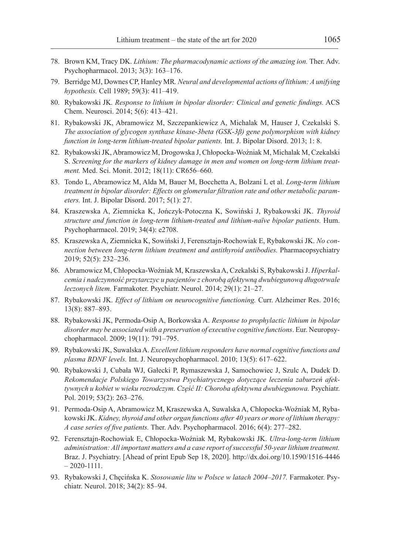- 78. Brown KM, Tracy DK. *Lithium: The pharmacodynamic actions of the amazing ion.* Ther. Adv. Psychopharmacol. 2013; 3(3): 163–176.
- 79. Berridge MJ, Downes CP, Hanley MR*. Neural and developmental actions of lithium: A unifying hypothesis.* Cell 1989; 59(3): 411–419.
- 80. Rybakowski JK*. Response to lithium in bipolar disorder: Clinical and genetic findings.* ACS Chem. Neurosci. 2014; 5(6): 413–421.
- 81. Rybakowski JK, Abramowicz M, Szczepankiewicz A, Michalak M, Hauser J, Czekalski S. *The association of glycogen synthase kinase-3beta (GSK-3β) gene polymorphism with kidney function in long-term lithium-treated bipolar patients.* Int. J. Bipolar Disord. 2013; 1: 8.
- 82. Rybakowski JK, Abramowicz M, Drogowska J, Chłopocka-Woźniak M, Michalak M, Czekalski S. *Screening for the markers of kidney damage in men and women on long-term lithium treatment.* Med. Sci. Monit. 2012; 18(11): CR656–660.
- 83. Tondo L, Abramowicz M, Alda M, Bauer M, Bocchetta A, Bolzani L et al. *Long-term lithium treatment in bipolar disorder: Effects on glomerular filtration rate and other metabolic parameters.* Int. J. Bipolar Disord. 2017; 5(1): 27.
- 84. Kraszewska A, Ziemnicka K, Jończyk-Potoczna K, Sowiński J, Rybakowski JK. *Thyroid structure and function in long-term lithium-treated and lithium-naïve bipolar patients.* Hum. Psychopharmacol. 2019; 34(4): e2708.
- 85. Kraszewska A, Ziemnicka K, Sowiński J, Ferensztajn-Rochowiak E, Rybakowski JK. *No connection between long-term lithium treatment and antithyroid antibodies.* Pharmacopsychiatry 2019; 52(5): 232–236.
- 86. Abramowicz M, Chłopocka-Woźniak M, Kraszewska A, Czekalski S, Rybakowski J. *Hiperkalcemia i nadczynność przytarczyc u pacjentów z chorobą afektywną dwubiegunową długotrwale leczonych litem.* Farmakoter. Psychiatr. Neurol. 2014; 29(1): 21–27.
- 87. Rybakowski JK. *Effect of lithium on neurocognitive functioning.* Curr. Alzheimer Res. 2016; 13(8): 887–893.
- 88. Rybakowski JK, Permoda-Osip A, Borkowska A. *Response to prophylactic lithium in bipolar disorder may be associated with a preservation of executive cognitive functions*. Eur. Neuropsychopharmacol. 2009; 19(11): 791–795.
- 89. Rybakowski JK, Suwalska A. *Excellent lithium responders have normal cognitive functions and plasma BDNF levels.* Int. J. Neuropsychopharmacol. 2010; 13(5): 617–622.
- 90. Rybakowski J, Cubała WJ, Gałecki P, Rymaszewska J, Samochowiec J, Szulc A, Dudek D. *Rekomendacje Polskiego Towarzystwa Psychiatrycznego dotyczące leczenia zaburzeń afektywnych u kobiet w wieku rozrodczym. Część II: Choroba afektywna dwubiegunowa.* Psychiatr. Pol. 2019; 53(2): 263–276.
- 91. Permoda-Osip A, Abramowicz M, Kraszewska A, Suwalska A, Chłopocka-Woźniak M, Rybakowski JK. *Kidney, thyroid and other organ functions after 40 years or more of lithium therapy: A case series of five patients.* Ther. Adv. Psychopharmacol. 2016; 6(4): 277–282.
- 92. Ferensztajn-Rochowiak E, Chłopocka-Woźniak M, Rybakowski JK. *Ultra-long-term lithium administration: All important matters and a case report of successful 50-year lithium treatment.*  Braz. J. Psychiatry. [Ahead of print Epub Sep 18, 2020]. http://dx.doi.org/10.1590/1516-4446  $-2020 - 1111.$
- 93. Rybakowski J, Chęcińska K. *Stosowanie litu w Polsce w latach 2004–2017.* Farmakoter. Psychiatr. Neurol. 2018; 34(2): 85–94.